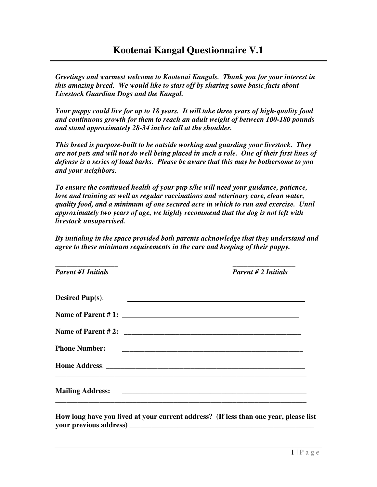*Greetings and warmest welcome to Kootenai Kangals. Thank you for your interest in this amazing breed. We would like to start off by sharing some basic facts about Livestock Guardian Dogs and the Kangal.* 

*Your puppy could live for up to 18 years. It will take three years of high-quality food and continuous growth for them to reach an adult weight of between 100-180 pounds and stand approximately 28-34 inches tall at the shoulder.* 

*This breed is purpose-built to be outside working and guarding your livestock. They are not pets and will not do well being placed in such a role. One of their first lines of defense is a series of loud barks. Please be aware that this may be bothersome to you and your neighbors.* 

*To ensure the continued health of your pup s/he will need your guidance, patience, love and training as well as regular vaccinations and veterinary care, clean water, quality food, and a minimum of one secured acre in which to run and exercise. Until approximately two years of age, we highly recommend that the dog is not left with livestock unsupervised.* 

*By initialing in the space provided both parents acknowledge that they understand and agree to these minimum requirements in the care and keeping of their puppy.* 

| <b>Parent #1 Initials</b> | <b>Parent #2 Initials</b>                                      |
|---------------------------|----------------------------------------------------------------|
| <b>Desired Pup(s):</b>    | <u> 1980 - Antonio Alemania, politikar politikar (h. 1980)</u> |
|                           |                                                                |
|                           |                                                                |
| <b>Phone Number:</b>      |                                                                |
|                           |                                                                |
|                           |                                                                |

**How long have you lived at your current address? (If less than one year, please list your previous address) \_\_\_\_\_\_\_\_\_\_\_\_\_\_\_\_\_\_\_\_\_\_\_\_\_\_\_\_\_\_\_\_\_\_\_\_\_\_\_\_\_\_\_\_\_\_\_\_\_\_**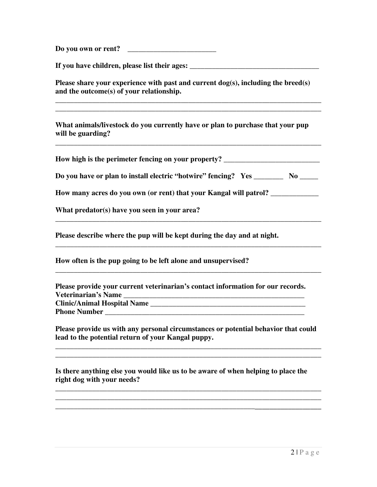**Do you own or rent?** \_\_\_\_\_\_\_\_\_\_\_\_\_\_\_\_\_\_\_\_\_\_\_\_

**If you have children, please list their ages: \_\_\_\_\_\_\_\_\_\_\_\_\_\_\_\_\_\_\_\_\_\_\_\_\_\_\_\_\_\_\_\_\_\_\_** 

**Please share your experience with past and current dog(s), including the breed(s) and the outcome(s) of your relationship.** 

**\_\_\_\_\_\_\_\_\_\_\_\_\_\_\_\_\_\_\_\_\_\_\_\_\_\_\_\_\_\_\_\_\_\_\_\_\_\_\_\_\_\_\_\_\_\_\_\_\_\_\_\_\_\_\_\_\_\_\_\_\_\_\_\_\_\_\_\_\_\_\_\_ \_\_\_\_\_\_\_\_\_\_\_\_\_\_\_\_\_\_\_\_\_\_\_\_\_\_\_\_\_\_\_\_\_\_\_\_\_\_\_\_\_\_\_\_\_\_\_\_\_\_\_\_\_\_\_\_\_\_\_\_\_\_\_\_\_\_\_\_\_\_\_\_** 

**What animals/livestock do you currently have or plan to purchase that your pup will be guarding?** 

**How high is the perimeter fencing on your property? \_\_\_\_\_\_\_\_\_\_\_\_\_\_\_\_\_\_\_\_\_\_\_\_\_\_** 

**\_\_\_\_\_\_\_\_\_\_\_\_\_\_\_\_\_\_\_\_\_\_\_\_\_\_\_\_\_\_\_\_\_\_\_\_\_\_\_\_\_\_\_\_\_\_\_\_\_\_\_\_\_\_\_\_\_\_\_\_\_\_\_\_\_\_\_\_\_\_\_\_** 

Do you have or plan to install electric "hotwire" fencing? Yes No

**\_\_\_\_\_\_\_\_\_\_\_\_\_\_\_\_\_\_\_\_\_\_\_\_\_\_\_\_\_\_\_\_\_\_\_\_\_\_\_\_\_\_\_\_\_\_\_\_\_\_\_\_\_\_\_\_\_\_\_\_\_\_\_\_\_\_\_\_\_\_\_\_** 

**\_\_\_\_\_\_\_\_\_\_\_\_\_\_\_\_\_\_\_\_\_\_\_\_\_\_\_\_\_\_\_\_\_\_\_\_\_\_\_\_\_\_\_\_\_\_\_\_\_\_\_\_\_\_\_\_\_\_\_\_\_\_\_\_\_\_\_\_\_\_\_\_** 

**\_\_\_\_\_\_\_\_\_\_\_\_\_\_\_\_\_\_\_\_\_\_\_\_\_\_\_\_\_\_\_\_\_\_\_\_\_\_\_\_\_\_\_\_\_\_\_\_\_\_\_\_\_\_\_\_\_\_\_\_\_\_\_\_\_\_\_\_\_\_\_\_** 

**How many acres do you own (or rent) that your Kangal will patrol? \_\_\_\_\_\_\_\_\_\_\_\_\_** 

**What predator(s) have you seen in your area?** 

**Please describe where the pup will be kept during the day and at night.** 

**How often is the pup going to be left alone and unsupervised?** 

**Please provide your current veterinarian's contact information for our records. Veterinarian's Name \_\_\_\_\_\_\_\_\_\_\_\_\_\_\_\_\_\_\_\_\_\_\_\_\_\_\_\_\_\_\_\_\_\_\_\_\_\_\_\_\_\_\_\_\_\_\_\_\_ Clinic/Animal Hospital Name \_\_\_\_\_\_\_\_\_\_\_\_\_\_\_\_\_\_\_\_\_\_\_\_\_\_\_\_\_\_\_\_\_\_\_\_\_\_\_\_\_\_ Phone Number \_\_\_\_\_\_\_\_\_\_\_\_\_\_\_\_\_\_\_\_\_\_\_\_\_\_\_\_\_\_\_\_\_\_\_\_\_\_\_\_\_\_\_\_\_\_\_\_\_\_\_\_\_\_** 

**Please provide us with any personal circumstances or potential behavior that could lead to the potential return of your Kangal puppy.** 

**\_\_\_\_\_\_\_\_\_\_\_\_\_\_\_\_\_\_\_\_\_\_\_\_\_\_\_\_\_\_\_\_\_\_\_\_\_\_\_\_\_\_\_\_\_\_\_\_\_\_\_\_\_\_\_\_\_\_\_\_\_\_\_\_\_\_\_\_\_\_\_\_ \_\_\_\_\_\_\_\_\_\_\_\_\_\_\_\_\_\_\_\_\_\_\_\_\_\_\_\_\_\_\_\_\_\_\_\_\_\_\_\_\_\_\_\_\_\_\_\_\_\_\_\_\_\_\_\_\_\_\_\_\_\_\_\_\_\_\_\_\_\_\_\_** 

**\_\_\_\_\_\_\_\_\_\_\_\_\_\_\_\_\_\_\_\_\_\_\_\_\_\_\_\_\_\_\_\_\_\_\_\_\_\_\_\_\_\_\_\_\_\_\_\_\_\_\_\_\_\_\_\_\_\_\_\_\_\_\_\_\_\_\_\_\_\_\_\_ \_\_\_\_\_\_\_\_\_\_\_\_\_\_\_\_\_\_\_\_\_\_\_\_\_\_\_\_\_\_\_\_\_\_\_\_\_\_\_\_\_\_\_\_\_\_\_\_\_\_\_\_\_\_\_\_\_\_\_\_\_\_\_\_\_\_\_\_\_\_\_\_ \_\_\_\_\_\_\_\_\_\_\_\_\_\_\_\_\_\_\_\_\_\_\_\_\_\_\_\_\_\_\_\_\_\_\_\_\_\_\_\_\_\_\_\_\_\_\_\_\_\_\_\_\_\_\_\_\_\_\_\_\_\_\_\_\_\_\_\_\_\_\_\_** 

**Is there anything else you would like us to be aware of when helping to place the right dog with your needs?**